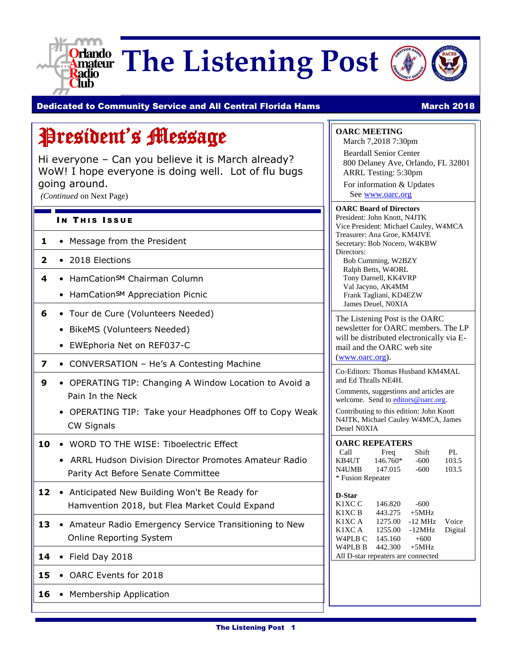

**Orlando** The Listening Post



#### Dedicated to Community Service and All Central Florida Hams Manch 2018 March 2018

### President's Message

Hi everyone – Can you believe it is March already? WoW! I hope everyone is doing well. Lot of flu bugs going around.

*(Continued* on Next Page)

#### IN THIS ISSUE

- **1** Message from the President
- **2** 2018 Elections
- **4** HamCation<sub>SM</sub> Chairman Column
	- HamCationSM Appreciation Picnic
- **6** Tour de Cure (Volunteers Needed)
	- BikeMS (Volunteers Needed)
	- EWEphoria Net on REF037-C
- **7** CONVERSATION He's A Contesting Machine
- **9** OPERATING TIP: Changing A Window Location to Avoid a Pain In the Neck
	- OPERATING TIP: Take your Headphones Off to Copy Weak CW Signals
- 10 WORD TO THE WISE: Tiboelectric Effect
	- ARRL Hudson Division Director Promotes Amateur Radio Parity Act Before Senate Committee
- 12 Anticipated New Building Won't Be Ready for Hamvention 2018, but Flea Market Could Expand
- 13 Amateur Radio Emergency Service Transitioning to New Online Reporting System
- **14** Field Day 2018
- 15 OARC Events for 2018
- 16 Membership Application

**OARC MEETING**

March 7,2018 7:30pm Beardall Senior Center 800 Delaney Ave, Orlando, FL 32801 ARRL Testing: 5:30pm For information & Updates See [www.oarc.org](http://www.oarc.org/)

**OARC Board of Directors** President: John Knott, N4JTK Vice President: Michael Cauley, W4MCA Treasurer: Ana Groe, KM4JVE Secretary: Bob Nocero, W4KBW Directors: Bob Cumming, W2BZY

Ralph Betts, W4ORL Tony Darnell, KK4VRP Val Jacyno, AK4MM Frank Tagliani, KD4EZW James Deuel, N0XIA

The Listening Post is the OARC newsletter for OARC members. The LP will be distributed electronically via Email and the OARC web site [\(www.oarc.org\)](http://www.oarc.org/).

Co-Editors: Thomas Husband KM4MAL and Ed Thralls NE4H.

Comments, suggestions and articles are welcome. Send t[o editors@oarc.org.](mailto:editors@oarc.org)

Contributing to this edition: John Knott N4JTK, Michael Cauley W4MCA, James Deuel N0XIA

#### **OARC REPEATERS**

| Call              | Freq     | Shift  | PL.   |  |
|-------------------|----------|--------|-------|--|
| KB4UT             | 146.760* | $-600$ | 103.5 |  |
| <b>N4UMB</b>      | 147.015  | $-600$ | 103.5 |  |
| * Fusion Repeater |          |        |       |  |

| D-Star                             |         |           |         |  |
|------------------------------------|---------|-----------|---------|--|
| K <sub>1</sub> XC <sub>C</sub>     | 146.820 | $-600$    |         |  |
| K1XC <sub>B</sub>                  | 443.275 | $+5MHz$   |         |  |
| K1XC A                             | 1275.00 | $-12$ MHz | Voice   |  |
| K1XC A                             | 1255.00 | $-12MHz$  | Digital |  |
| W4PLB C                            | 145,160 | $+600$    |         |  |
| W <sub>4</sub> PLB <sub>B</sub>    | 442.300 | $+5MHz$   |         |  |
| All D-star repeaters are connected |         |           |         |  |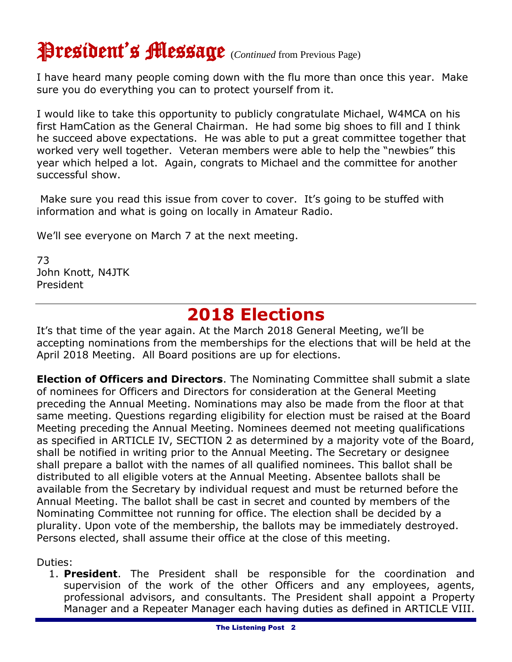## President's Message (*Continued* from Previous Page)

I have heard many people coming down with the flu more than once this year. Make sure you do everything you can to protect yourself from it.

I would like to take this opportunity to publicly congratulate Michael, W4MCA on his first HamCation as the General Chairman. He had some big shoes to fill and I think he succeed above expectations. He was able to put a great committee together that worked very well together. Veteran members were able to help the "newbies" this year which helped a lot. Again, congrats to Michael and the committee for another successful show.

Make sure you read this issue from cover to cover. It's going to be stuffed with information and what is going on locally in Amateur Radio.

We'll see everyone on March 7 at the next meeting.

73 John Knott, N4JTK President

### **2018 Elections**

It's that time of the year again. At the March 2018 General Meeting, we'll be accepting nominations from the memberships for the elections that will be held at the April 2018 Meeting. All Board positions are up for elections.

**Election of Officers and Directors**. The Nominating Committee shall submit a slate of nominees for Officers and Directors for consideration at the General Meeting preceding the Annual Meeting. Nominations may also be made from the floor at that same meeting. Questions regarding eligibility for election must be raised at the Board Meeting preceding the Annual Meeting. Nominees deemed not meeting qualifications as specified in ARTICLE IV, SECTION 2 as determined by a majority vote of the Board, shall be notified in writing prior to the Annual Meeting. The Secretary or designee shall prepare a ballot with the names of all qualified nominees. This ballot shall be distributed to all eligible voters at the Annual Meeting. Absentee ballots shall be available from the Secretary by individual request and must be returned before the Annual Meeting. The ballot shall be cast in secret and counted by members of the Nominating Committee not running for office. The election shall be decided by a plurality. Upon vote of the membership, the ballots may be immediately destroyed. Persons elected, shall assume their office at the close of this meeting.

Duties:

1. **President**. The President shall be responsible for the coordination and supervision of the work of the other Officers and any employees, agents, professional advisors, and consultants. The President shall appoint a Property Manager and a Repeater Manager each having duties as defined in ARTICLE VIII.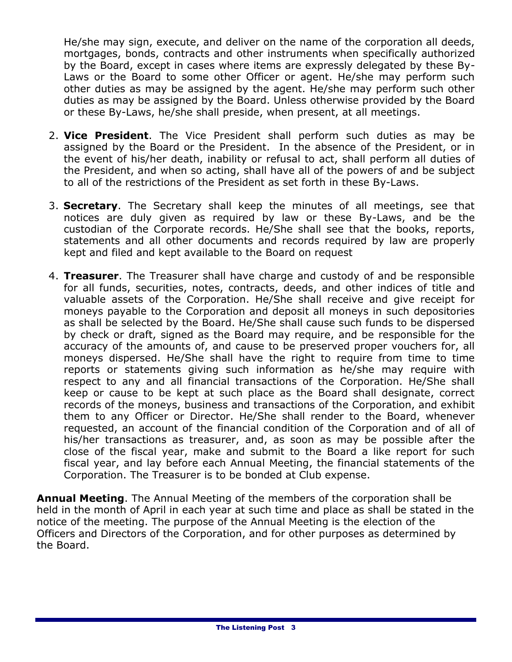He/she may sign, execute, and deliver on the name of the corporation all deeds, mortgages, bonds, contracts and other instruments when specifically authorized by the Board, except in cases where items are expressly delegated by these By-Laws or the Board to some other Officer or agent. He/she may perform such other duties as may be assigned by the agent. He/she may perform such other duties as may be assigned by the Board. Unless otherwise provided by the Board or these By-Laws, he/she shall preside, when present, at all meetings.

- 2. **Vice President**. The Vice President shall perform such duties as may be assigned by the Board or the President. In the absence of the President, or in the event of his/her death, inability or refusal to act, shall perform all duties of the President, and when so acting, shall have all of the powers of and be subject to all of the restrictions of the President as set forth in these By-Laws.
- 3. **Secretary**. The Secretary shall keep the minutes of all meetings, see that notices are duly given as required by law or these By-Laws, and be the custodian of the Corporate records. He/She shall see that the books, reports, statements and all other documents and records required by law are properly kept and filed and kept available to the Board on request
- 4. **Treasurer**. The Treasurer shall have charge and custody of and be responsible for all funds, securities, notes, contracts, deeds, and other indices of title and valuable assets of the Corporation. He/She shall receive and give receipt for moneys payable to the Corporation and deposit all moneys in such depositories as shall be selected by the Board. He/She shall cause such funds to be dispersed by check or draft, signed as the Board may require, and be responsible for the accuracy of the amounts of, and cause to be preserved proper vouchers for, all moneys dispersed. He/She shall have the right to require from time to time reports or statements giving such information as he/she may require with respect to any and all financial transactions of the Corporation. He/She shall keep or cause to be kept at such place as the Board shall designate, correct records of the moneys, business and transactions of the Corporation, and exhibit them to any Officer or Director. He/She shall render to the Board, whenever requested, an account of the financial condition of the Corporation and of all of his/her transactions as treasurer, and, as soon as may be possible after the close of the fiscal year, make and submit to the Board a like report for such fiscal year, and lay before each Annual Meeting, the financial statements of the Corporation. The Treasurer is to be bonded at Club expense.

**Annual Meeting**. The Annual Meeting of the members of the corporation shall be held in the month of April in each year at such time and place as shall be stated in the notice of the meeting. The purpose of the Annual Meeting is the election of the Officers and Directors of the Corporation, and for other purposes as determined by the Board.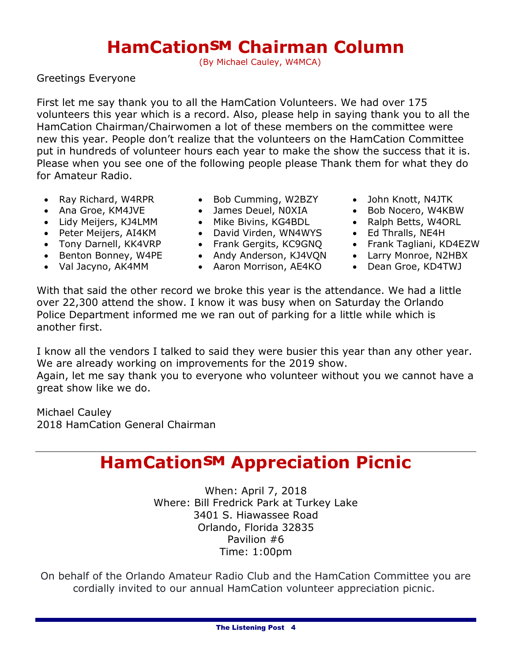### **HamCation<sup>SM</sup> Chairman Column**

(By Michael Cauley, W4MCA)

Greetings Everyone

First let me say thank you to all the HamCation Volunteers. We had over 175 volunteers this year which is a record. Also, please help in saying thank you to all the HamCation Chairman/Chairwomen a lot of these members on the committee were new this year. People don't realize that the volunteers on the HamCation Committee put in hundreds of volunteer hours each year to make the show the success that it is. Please when you see one of the following people please Thank them for what they do for Amateur Radio.

- 
- 
- Lidy Meijers, KJ4LMM Mike Bivins, KG4BDL Ralph Betts, W4ORL
- 
- 
- 
- 
- Ray Richard, W4RPR Bob Cumming, W2BZY John Knott, N4JTK
	-
	-
- Peter Meijers, AI4KM David Virden, WN4WYS Ed Thralls, NE4H
	-
- Benton Bonney, W4PE Andy Anderson, KJ4VQN Larry Monroe, N2HBX
- Val Jacyno, AK4MM Aaron Morrison, AE4KO Dean Groe, KD4TWJ
- 
- Ana Groe, KM4JVE James Deuel, N0XIA Bob Nocero, W4KBW
	-
	-
- Tony Darnell, KK4VRP Frank Gergits, KC9GNQ Frank Tagliani, KD4EZW
	-
	-

With that said the other record we broke this year is the attendance. We had a little over 22,300 attend the show. I know it was busy when on Saturday the Orlando Police Department informed me we ran out of parking for a little while which is another first.

I know all the vendors I talked to said they were busier this year than any other year. We are already working on improvements for the 2019 show.

Again, let me say thank you to everyone who volunteer without you we cannot have a great show like we do.

Michael Cauley 2018 HamCation General Chairman

### **HamCation<sup>SM</sup> Appreciation Picnic**

When: April 7, 2018 Where: Bill Fredrick Park at Turkey Lake 3401 S. Hiawassee Road Orlando, Florida 32835 Pavilion #6 Time: 1:00pm

On behalf of the Orlando Amateur Radio Club and the HamCation Committee you are cordially invited to our annual HamCation volunteer appreciation picnic.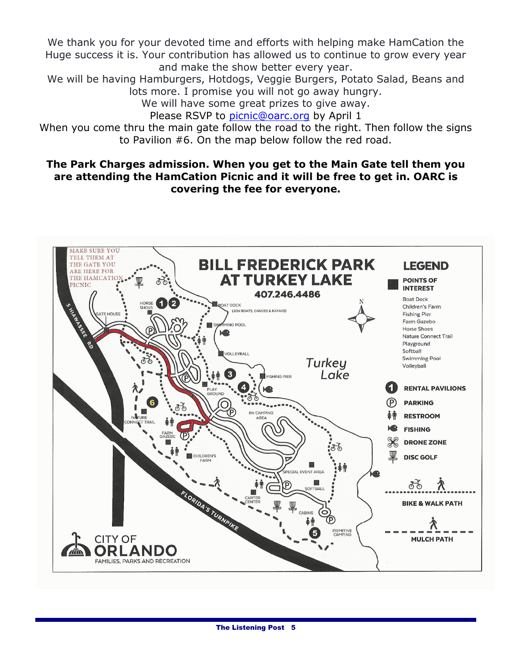We thank you for your devoted time and efforts with helping make HamCation the Huge success it is. Your contribution has allowed us to continue to grow every year and make the show better every year.

We will be having Hamburgers, Hotdogs, Veggie Burgers, Potato Salad, Beans and lots more. I promise you will not go away hungry.

We will have some great prizes to give away.

Please RSVP to [picnic@oarc.org](mailto:picnic@oarc.org) by April 1

When you come thru the main gate follow the road to the right. Then follow the signs to Pavilion #6. On the map below follow the red road.

#### **The Park Charges admission. When you get to the Main Gate tell them you are attending the HamCation Picnic and it will be free to get in. OARC is covering the fee for everyone.**

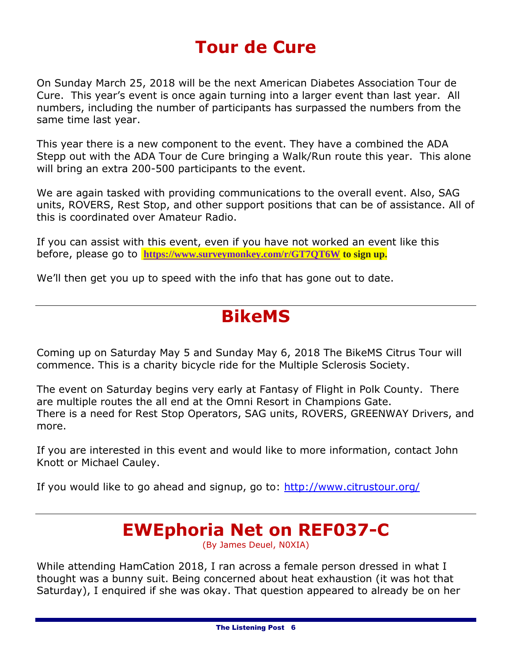### **Tour de Cure**

On Sunday March 25, 2018 will be the next American Diabetes Association Tour de Cure. This year's event is once again turning into a larger event than last year. All numbers, including the number of participants has surpassed the numbers from the same time last year.

This year there is a new component to the event. They have a combined the ADA Stepp out with the ADA Tour de Cure bringing a Walk/Run route this year. This alone will bring an extra 200-500 participants to the event.

We are again tasked with providing communications to the overall event. Also, SAG units, ROVERS, Rest Stop, and other support positions that can be of assistance. All of this is coordinated over Amateur Radio.

If you can assist with this event, even if you have not worked an event like this before, please go to **<https://www.surveymonkey.com/r/GT7QT6W> to sign up.**

We'll then get you up to speed with the info that has gone out to date.

### **BikeMS**

Coming up on Saturday May 5 and Sunday May 6, 2018 The BikeMS Citrus Tour will commence. This is a charity bicycle ride for the Multiple Sclerosis Society.

The event on Saturday begins very early at Fantasy of Flight in Polk County. There are multiple routes the all end at the Omni Resort in Champions Gate. There is a need for Rest Stop Operators, SAG units, ROVERS, GREENWAY Drivers, and more.

If you are interested in this event and would like to more information, contact John Knott or Michael Cauley.

If you would like to go ahead and signup, go to:<http://www.citrustour.org/>

### **EWEphoria Net on REF037-C**

(By James Deuel, N0XIA)

While attending HamCation 2018, I ran across a female person dressed in what I thought was a bunny suit. Being concerned about heat exhaustion (it was hot that Saturday), I enquired if she was okay. That question appeared to already be on her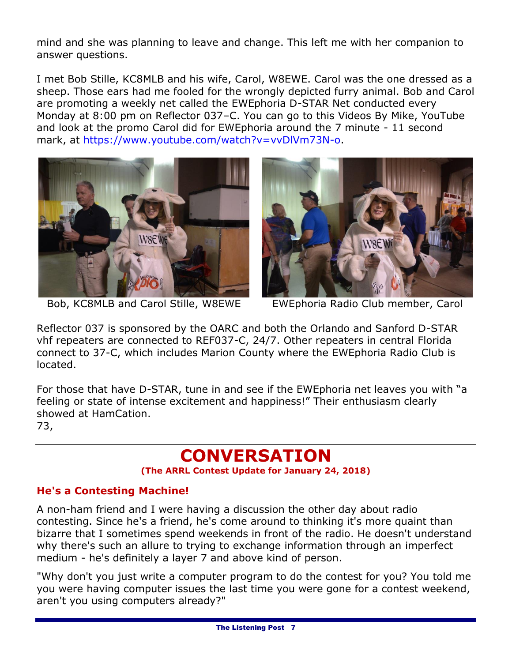mind and she was planning to leave and change. This left me with her companion to answer questions.

I met Bob Stille, KC8MLB and his wife, Carol, W8EWE. Carol was the one dressed as a sheep. Those ears had me fooled for the wrongly depicted furry animal. Bob and Carol are promoting a weekly net called the EWEphoria D-STAR Net conducted every Monday at 8:00 pm on Reflector 037–C. You can go to this Videos By Mike, YouTube and look at the promo Carol did for EWEphoria around the 7 minute - 11 second mark, at [https://www.youtube.com/watch?v=vvDlVm73N-o.](https://www.youtube.com/watch?v=vvDlVm73N-o)



Bob, KC8MLB and Carol Stille, W8EWE EWEphoria Radio Club member, Carol



Reflector 037 is sponsored by the OARC and both the Orlando and Sanford D-STAR vhf repeaters are connected to REF037-C, 24/7. Other repeaters in central Florida connect to 37-C, which includes Marion County where the EWEphoria Radio Club is located.

For those that have D-STAR, tune in and see if the EWEphoria net leaves you with "a feeling or state of intense excitement and happiness!" Their enthusiasm clearly showed at HamCation. 73,

### **CONVERSATION**

**(The ARRL Contest Update for January 24, 2018)**

#### **He's a Contesting Machine!**

A non-ham friend and I were having a discussion the other day about radio contesting. Since he's a friend, he's come around to thinking it's more quaint than bizarre that I sometimes spend weekends in front of the radio. He doesn't understand why there's such an allure to trying to exchange information through an imperfect medium - he's definitely a layer 7 and above kind of person.

"Why don't you just write a computer program to do the contest for you? You told me you were having computer issues the last time you were gone for a contest weekend, aren't you using computers already?"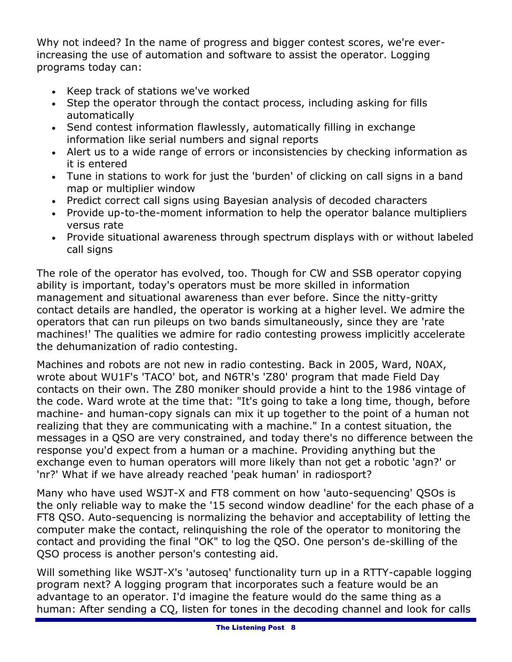Why not indeed? In the name of progress and bigger contest scores, we're everincreasing the use of automation and software to assist the operator. Logging programs today can:

- Keep track of stations we've worked
- Step the operator through the contact process, including asking for fills automatically
- Send contest information flawlessly, automatically filling in exchange information like serial numbers and signal reports
- Alert us to a wide range of errors or inconsistencies by checking information as it is entered
- Tune in stations to work for just the 'burden' of clicking on call signs in a band map or multiplier window
- Predict correct call signs using Bayesian analysis of decoded characters
- Provide up-to-the-moment information to help the operator balance multipliers versus rate
- Provide situational awareness through spectrum displays with or without labeled call signs

The role of the operator has evolved, too. Though for CW and SSB operator copying ability is important, today's operators must be more skilled in information management and situational awareness than ever before. Since the nitty-gritty contact details are handled, the operator is working at a higher level. We admire the operators that can run pileups on two bands simultaneously, since they are 'rate machines!' The qualities we admire for radio contesting prowess implicitly accelerate the dehumanization of radio contesting.

Machines and robots are not new in radio contesting. Back in 2005, Ward, N0AX, wrote about WU1F's 'TACO' bot, and N6TR's 'Z80' program that made Field Day contacts on their own. The Z80 moniker should provide a hint to the 1986 vintage of the code. Ward wrote at the time that: "It's going to take a long time, though, before machine- and human-copy signals can mix it up together to the point of a human not realizing that they are communicating with a machine." In a contest situation, the messages in a QSO are very constrained, and today there's no difference between the response you'd expect from a human or a machine. Providing anything but the exchange even to human operators will more likely than not get a robotic 'agn?' or 'nr?' What if we have already reached 'peak human' in radiosport?

Many who have used WSJT-X and FT8 comment on how 'auto-sequencing' QSOs is the only reliable way to make the '15 second window deadline' for the each phase of a FT8 QSO. Auto-sequencing is normalizing the behavior and acceptability of letting the computer make the contact, relinquishing the role of the operator to monitoring the contact and providing the final "OK" to log the QSO. One person's de-skilling of the QSO process is another person's contesting aid.

Will something like WSJT-X's 'autoseq' functionality turn up in a RTTY-capable logging program next? A logging program that incorporates such a feature would be an advantage to an operator. I'd imagine the feature would do the same thing as a human: After sending a CQ, listen for tones in the decoding channel and look for calls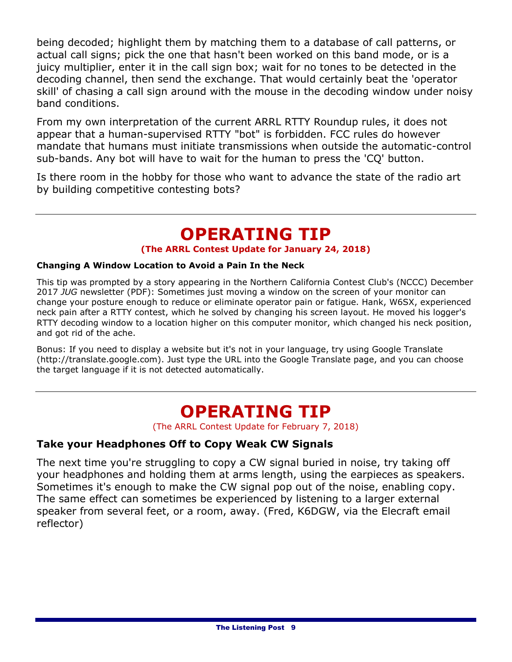being decoded; highlight them by matching them to a database of call patterns, or actual call signs; pick the one that hasn't been worked on this band mode, or is a juicy multiplier, enter it in the call sign box; wait for no tones to be detected in the decoding channel, then send the exchange. That would certainly beat the 'operator skill' of chasing a call sign around with the mouse in the decoding window under noisy band conditions.

From my own interpretation of the current ARRL RTTY Roundup rules, it does not appear that a human-supervised RTTY "bot" is forbidden. FCC rules do however mandate that humans must initiate transmissions when outside the automatic-control sub-bands. Any bot will have to wait for the human to press the 'CQ' button.

Is there room in the hobby for those who want to advance the state of the radio art by building competitive contesting bots?

### **OPERATING TIP**

#### **(The ARRL Contest Update for January 24, 2018)**

#### **Changing A Window Location to Avoid a Pain In the Neck**

This tip was prompted by a story appearing in the Northern California Contest Club's (NCCC) December 2017 *JUG* newsletter (PDF): Sometimes just moving a window on the screen of your monitor can change your posture enough to reduce or eliminate operator pain or fatigue. Hank, W6SX, experienced neck pain after a RTTY contest, which he solved by changing his screen layout. He moved his logger's RTTY decoding window to a location higher on this computer monitor, which changed his neck position, and got rid of the ache.

Bonus: If you need to display a website but it's not in your language, try using Google Translate (http://translate.google.com). Just type the URL into the Google Translate page, and you can choose the target language if it is not detected automatically.

### **OPERATING TIP**

(The ARRL Contest Update for February 7, 2018)

#### **Take your Headphones Off to Copy Weak CW Signals**

The next time you're struggling to copy a CW signal buried in noise, try taking off your headphones and holding them at arms length, using the earpieces as speakers. Sometimes it's enough to make the CW signal pop out of the noise, enabling copy. The same effect can sometimes be experienced by listening to a larger external speaker from several feet, or a room, away. (Fred, K6DGW, via the Elecraft email reflector)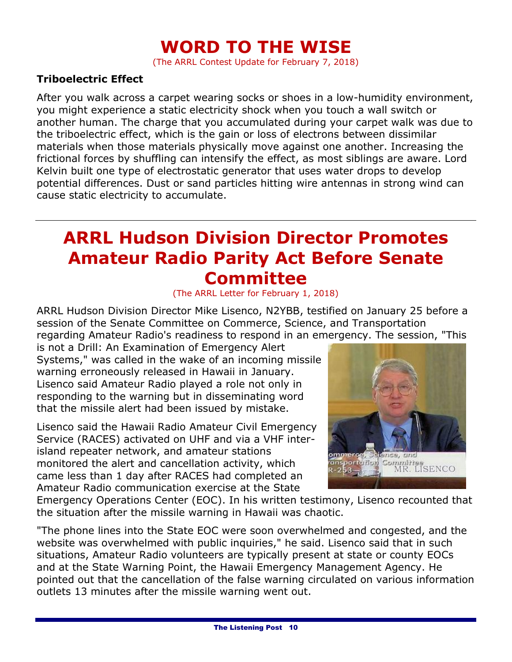### **WORD TO THE WISE**

(The ARRL Contest Update for February 7, 2018)

#### **Triboelectric Effect**

After you walk across a carpet wearing socks or shoes in a low-humidity environment, you might experience a static electricity shock when you touch a wall switch or another human. The charge that you accumulated during your carpet walk was due to the triboelectric effect, which is the gain or loss of electrons between dissimilar materials when those materials physically move against one another. Increasing the frictional forces by shuffling can intensify the effect, as most siblings are aware. Lord Kelvin built one type of electrostatic generator that uses water drops to develop potential differences. Dust or sand particles hitting wire antennas in strong wind can cause static electricity to accumulate.

### **ARRL Hudson Division Director Promotes Amateur Radio Parity Act Before Senate Committee**

#### (The ARRL Letter for February 1, 2018)

ARRL Hudson Division Director Mike Lisenco, N2YBB, testified on January 25 before a session of the Senate Committee on Commerce, Science, and Transportation regarding Amateur Radio's readiness to respond in an emergency. The session, "This

is not a Drill: An Examination of Emergency Alert Systems," was called in the wake of an incoming missile warning erroneously released in Hawaii in January. Lisenco said Amateur Radio played a role not only in responding to the warning but in disseminating word that the missile alert had been issued by mistake.

Lisenco said the Hawaii Radio Amateur Civil Emergency Service (RACES) activated on UHF and via a VHF interisland repeater network, and amateur stations monitored the alert and cancellation activity, which came less than 1 day after RACES had completed an Amateur Radio communication exercise at the State



Emergency Operations Center (EOC). In his written testimony, Lisenco recounted that the situation after the missile warning in Hawaii was chaotic.

"The phone lines into the State EOC were soon overwhelmed and congested, and the website was overwhelmed with public inquiries," he said. Lisenco said that in such situations, Amateur Radio volunteers are typically present at state or county EOCs and at the State Warning Point, the Hawaii Emergency Management Agency. He pointed out that the cancellation of the false warning circulated on various information outlets 13 minutes after the missile warning went out.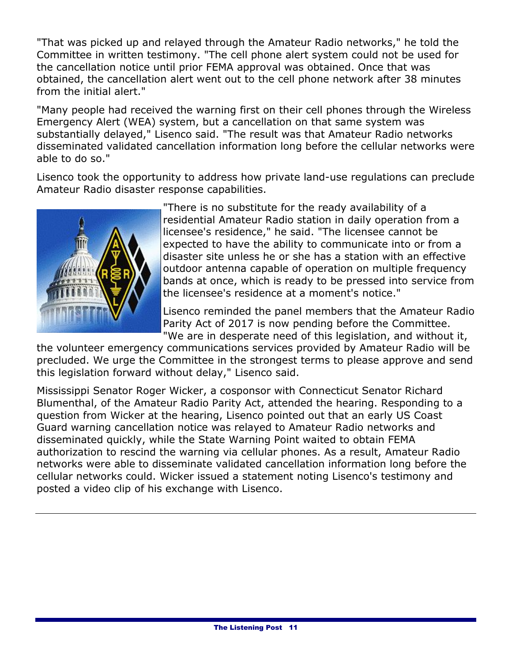"That was picked up and relayed through the Amateur Radio networks," he told the Committee in written testimony. "The cell phone alert system could not be used for the cancellation notice until prior FEMA approval was obtained. Once that was obtained, the cancellation alert went out to the cell phone network after 38 minutes from the initial alert."

"Many people had received the warning first on their cell phones through the Wireless Emergency Alert (WEA) system, but a cancellation on that same system was substantially delayed," Lisenco said. "The result was that Amateur Radio networks disseminated validated cancellation information long before the cellular networks were able to do so."

Lisenco took the opportunity to address how private land-use regulations can preclude Amateur Radio disaster response capabilities.



"There is no substitute for the ready availability of a residential Amateur Radio station in daily operation from a licensee's residence," he said. "The licensee cannot be expected to have the ability to communicate into or from a disaster site unless he or she has a station with an effective outdoor antenna capable of operation on multiple frequency bands at once, which is ready to be pressed into service from the licensee's residence at a moment's notice."

Lisenco reminded the panel members that the Amateur Radio Parity Act of 2017 is now pending before the Committee. "We are in desperate need of this legislation, and without it,

the volunteer emergency communications services provided by Amateur Radio will be precluded. We urge the Committee in the strongest terms to please approve and send this legislation forward without delay," Lisenco said.

Mississippi Senator Roger Wicker, a cosponsor with Connecticut Senator Richard Blumenthal, of the Amateur Radio Parity Act, attended the hearing. Responding to a question from Wicker at the hearing, Lisenco pointed out that an early US Coast Guard warning cancellation notice was relayed to Amateur Radio networks and disseminated quickly, while the State Warning Point waited to obtain FEMA authorization to rescind the warning via cellular phones. As a result, Amateur Radio networks were able to disseminate validated cancellation information long before the cellular networks could. Wicker issued a [statement](https://www.wicker.senate.gov/public/index.cfm/2018/1/wicker-amateur-radio-essential-to-emergency-response) noting Lisenco's testimony and posted a video clip of his exchange with Lisenco.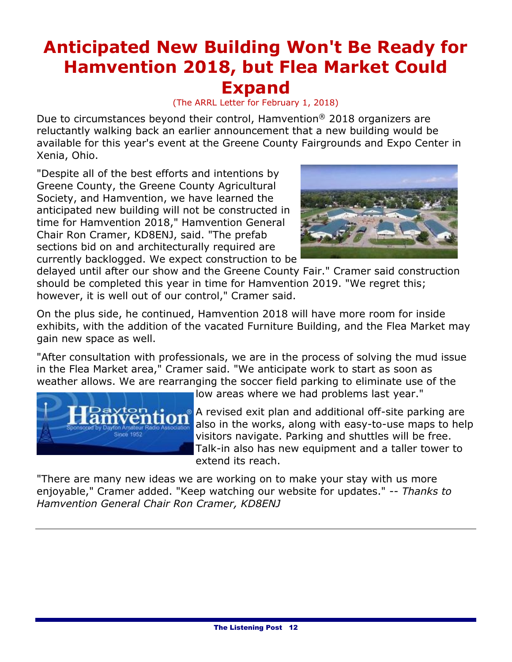### **Anticipated New Building Won't Be Ready for Hamvention 2018, but Flea Market Could Expand**

(The ARRL Letter for February 1, 2018)

Due to circumstances beyond their control, Hamvention® 2018 organizers are reluctantly walking back an earlier announcement that a new building would be available for this year's event at the Greene County Fairgrounds and Expo Center in Xenia, Ohio.

"Despite all of the best efforts and intentions by Greene County, the Greene County Agricultural Society, and Hamvention, we have learned the anticipated new building will not be constructed in time for Hamvention 2018," Hamvention General Chair Ron Cramer, KD8ENJ, said. "The prefab sections bid on and architecturally required are currently backlogged. We expect construction to be



delayed until after our show and the Greene County Fair." Cramer said construction should be completed this year in time for Hamvention 2019. "We regret this; however, it is well out of our control," Cramer said.

On the plus side, he continued, Hamvention 2018 will have more room for inside exhibits, with the addition of the vacated Furniture Building, and the Flea Market may gain new space as well.

"After consultation with professionals, we are in the process of solving the mud issue in the Flea Market area," Cramer said. "We anticipate work to start as soon as weather allows. We are rearranging the soccer field parking to eliminate use of the



low areas where we had problems last year."

**A** revised exit plan and additional off-site parking are also in the works, along with easy-to-use maps to help visitors navigate. Parking and shuttles will be free. Talk-in also has new equipment and a taller tower to extend its reach.

"There are many new ideas we are working on to make your stay with us more enjoyable," Cramer added. "Keep watching our website for updates." -- *Thanks to Hamvention General Chair Ron Cramer, KD8ENJ*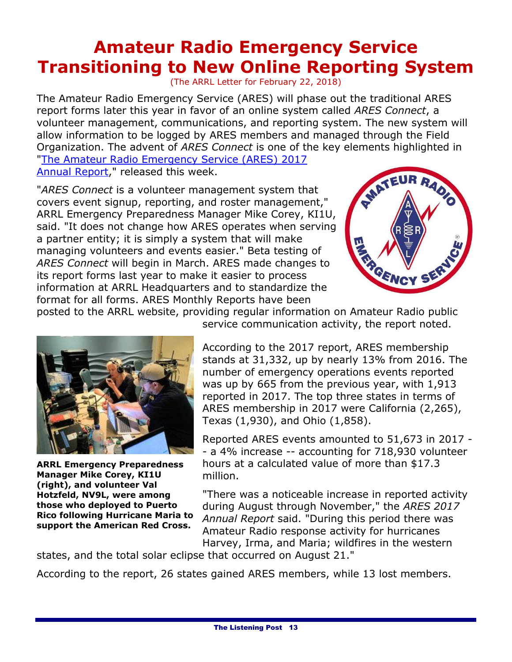### **Amateur Radio Emergency Service Transitioning to New Online Reporting System**

(The ARRL Letter for February 22, 2018)

The Amateur Radio Emergency Service (ARES) will phase out the traditional ARES report forms later this year in favor of an online system called *ARES Connect*, a volunteer management, communications, and reporting system. The new system will allow information to be logged by ARES members and managed through the Field Organization. The advent of *ARES Connect* is one of the key elements highlighted in ["The Amateur Radio Emergency Service \(ARES\) 2017](http://www.arrl.org/files/file/Public%20Service/ARES/ARES%202017%20Report.pdf) 

[Annual Report,](http://www.arrl.org/files/file/Public%20Service/ARES/ARES%202017%20Report.pdf)" released this week.

"*ARES Connect* is a volunteer management system that covers event signup, reporting, and roster management," ARRL Emergency Preparedness Manager Mike Corey, KI1U, said. "It does not change how ARES operates when serving a partner entity; it is simply a system that will make managing volunteers and events easier." Beta testing of *ARES Connect* will begin in March. ARES made changes to its report forms last year to make it easier to process information at ARRL Headquarters and to standardize the format for all forms. ARES Monthly Reports have been



posted to the ARRL website, providing regular information on Amateur Radio public



**ARRL Emergency Preparedness Manager Mike Corey, KI1U (right), and volunteer Val Hotzfeld, NV9L, were among those who deployed to Puerto Rico following Hurricane Maria to support the American Red Cross.**

service communication activity, the report noted.

According to the 2017 report, ARES membership stands at 31,332, up by nearly 13% from 2016. The number of emergency operations events reported was up by 665 from the previous year, with 1,913 reported in 2017. The top three states in terms of ARES membership in 2017 were California (2,265), Texas (1,930), and Ohio (1,858).

Reported ARES events amounted to 51,673 in 2017 - - a 4% increase -- accounting for 718,930 volunteer hours at a calculated value of more than \$17.3 million.

"There was a noticeable increase in reported activity during August through November," the *ARES 2017 Annual Report* said. "During this period there was Amateur Radio response activity for hurricanes Harvey, Irma, and Maria; wildfires in the western

states, and the total solar eclipse that occurred on August 21."

According to the report, 26 states gained ARES members, while 13 lost members.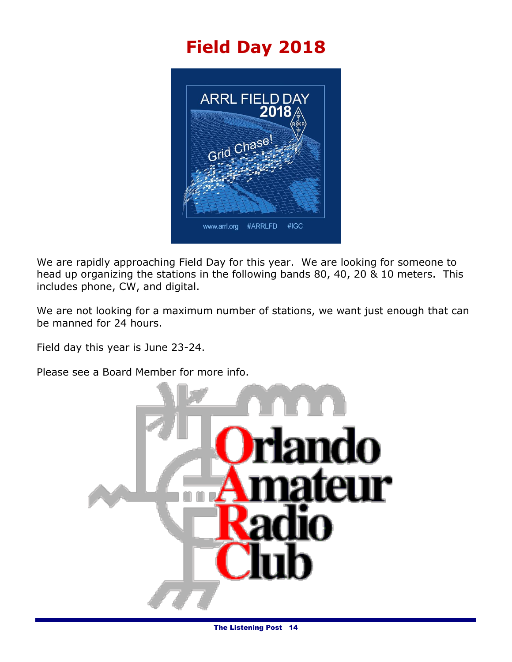### **Field Day 2018**



We are rapidly approaching Field Day for this year. We are looking for someone to head up organizing the stations in the following bands 80, 40, 20 & 10 meters. This includes phone, CW, and digital.

We are not looking for a maximum number of stations, we want just enough that can be manned for 24 hours.

Field day this year is June 23-24.

Please see a Board Member for more info.

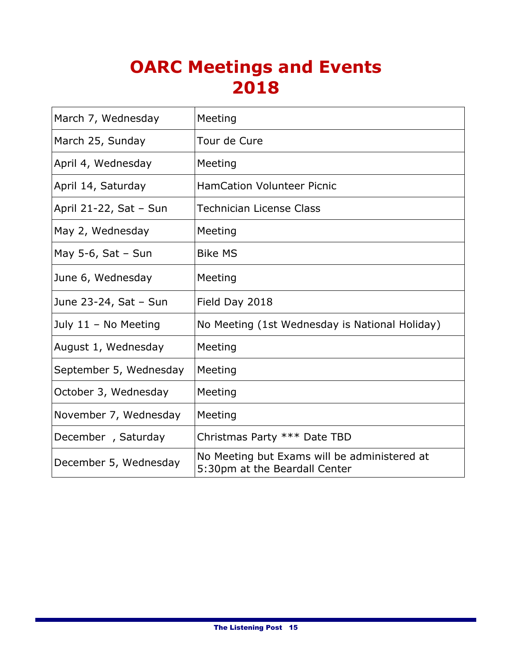### **OARC Meetings and Events 2018**

| March 7, Wednesday     | Meeting                                                                       |  |  |
|------------------------|-------------------------------------------------------------------------------|--|--|
| March 25, Sunday       | Tour de Cure                                                                  |  |  |
| April 4, Wednesday     | Meeting                                                                       |  |  |
| April 14, Saturday     | <b>HamCation Volunteer Picnic</b>                                             |  |  |
| April 21-22, Sat - Sun | Technician License Class                                                      |  |  |
| May 2, Wednesday       | Meeting                                                                       |  |  |
| May 5-6, Sat $-$ Sun   | <b>Bike MS</b>                                                                |  |  |
| June 6, Wednesday      | Meeting                                                                       |  |  |
| June 23-24, Sat - Sun  | Field Day 2018                                                                |  |  |
| July 11 - No Meeting   | No Meeting (1st Wednesday is National Holiday)                                |  |  |
| August 1, Wednesday    | Meeting                                                                       |  |  |
| September 5, Wednesday | Meeting                                                                       |  |  |
| October 3, Wednesday   | Meeting                                                                       |  |  |
| November 7, Wednesday  | Meeting                                                                       |  |  |
| December, Saturday     | Christmas Party *** Date TBD                                                  |  |  |
| December 5, Wednesday  | No Meeting but Exams will be administered at<br>5:30pm at the Beardall Center |  |  |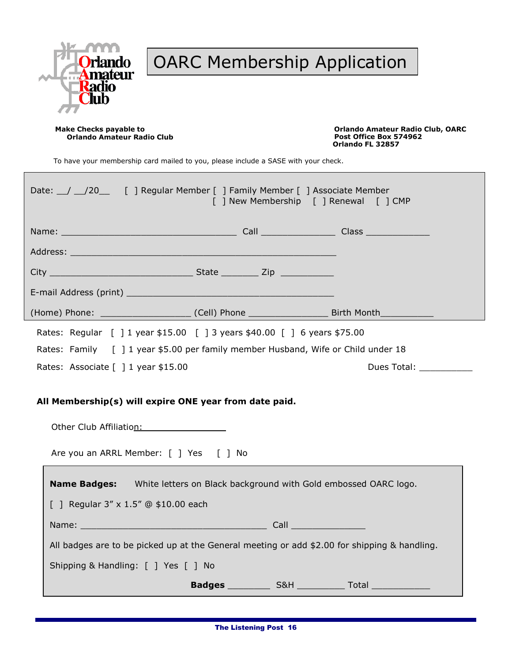

### OARC Membership Application

**Orlando Amateur Radio Club** 

**Make Checks payable to Orlando Amateur Radio Club, OARC Orlando FL 32857**

To have your membership card mailed to you, please include a SASE with your check.

| Date: 1 20 [ ] Regular Member [ ] Family Member [ ] Associate Member<br>[ ] New Membership [ ] Renewal [ ] CMP                                |  |                         |  |  |  |
|-----------------------------------------------------------------------------------------------------------------------------------------------|--|-------------------------|--|--|--|
|                                                                                                                                               |  |                         |  |  |  |
| Address: Address: Address: Address: Address: Address: Address: Address: Address: Address: Address: A                                          |  |                         |  |  |  |
|                                                                                                                                               |  |                         |  |  |  |
|                                                                                                                                               |  |                         |  |  |  |
| (Home) Phone: _________________________(Cell) Phone ____________________________Birth Month______________                                     |  |                         |  |  |  |
| Rates: Regular [ ] 1 year \$15.00 [ ] 3 years \$40.00 [ ] 6 years \$75.00                                                                     |  |                         |  |  |  |
| Rates: Family [ ] 1 year \$5.00 per family member Husband, Wife or Child under 18                                                             |  |                         |  |  |  |
| Rates: Associate [ ] 1 year \$15.00                                                                                                           |  | Dues Total: ___________ |  |  |  |
| All Membership(s) will expire ONE year from date paid.<br>Other Club Affiliation: Club Affiliation:<br>Are you an ARRL Member: [ ] Yes [ ] No |  |                         |  |  |  |
| <b>Name Badges:</b> White letters on Black background with Gold embossed OARC logo.<br>[ ] Regular $3'' \times 1.5''$ @ \$10.00 each          |  |                         |  |  |  |
|                                                                                                                                               |  |                         |  |  |  |
| All badges are to be picked up at the General meeting or add \$2.00 for shipping & handling.                                                  |  |                         |  |  |  |
| Shipping & Handling: [ ] Yes [ ] No                                                                                                           |  |                         |  |  |  |
|                                                                                                                                               |  |                         |  |  |  |